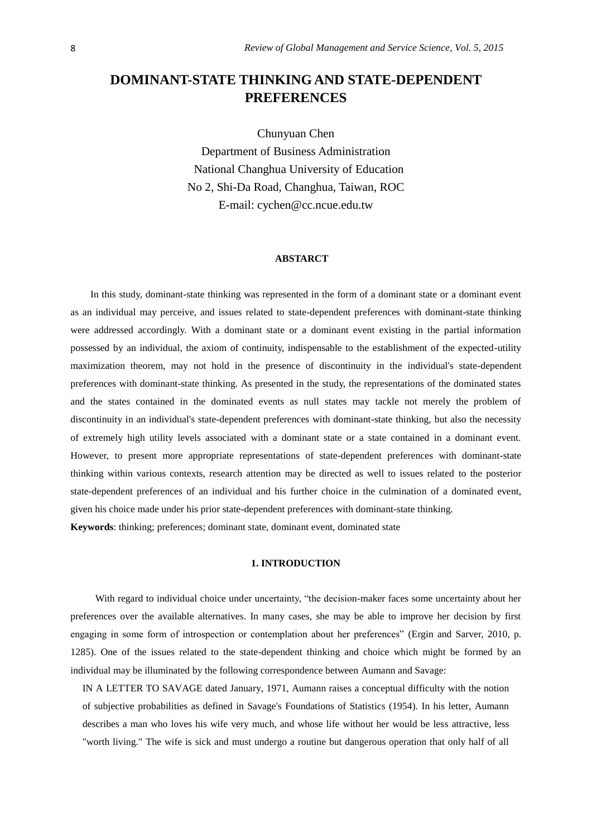# **DOMINANT-STATE THINKING AND STATE-DEPENDENT PREFERENCES**

Chunyuan Chen

Department of Business Administration National Changhua University of Education No 2, Shi-Da Road, Changhua, Taiwan, ROC E-mail: cychen@cc.ncue.edu.tw

#### **ABSTARCT**

In this study, dominant-state thinking was represented in the form of a dominant state or a dominant event as an individual may perceive, and issues related to state-dependent preferences with dominant-state thinking were addressed accordingly. With a dominant state or a dominant event existing in the partial information possessed by an individual, the axiom of continuity, indispensable to the establishment of the expected-utility maximization theorem, may not hold in the presence of discontinuity in the individual's state-dependent preferences with dominant-state thinking. As presented in the study, the representations of the dominated states and the states contained in the dominated events as null states may tackle not merely the problem of discontinuity in an individual's state-dependent preferences with dominant-state thinking, but also the necessity of extremely high utility levels associated with a dominant state or a state contained in a dominant event. However, to present more appropriate representations of state-dependent preferences with dominant-state thinking within various contexts, research attention may be directed as well to issues related to the posterior state-dependent preferences of an individual and his further choice in the culmination of a dominated event, given his choice made under his prior state-dependent preferences with dominant-state thinking.

**Keywords**: thinking; preferences; dominant state, dominant event, dominated state

## **1. INTRODUCTION**

With regard to individual choice under uncertainty, "the decision-maker faces some uncertainty about her preferences over the available alternatives. In many cases, she may be able to improve her decision by first engaging in some form of introspection or contemplation about her preferences" (Ergin and Sarver, 2010, p. 1285). One of the issues related to the state-dependent thinking and choice which might be formed by an individual may be illuminated by the following correspondence between Aumann and Savage:

IN A LETTER TO SAVAGE dated January, 1971, Aumann raises a conceptual difficulty with the notion of subjective probabilities as defined in Savage's Foundations of Statistics (1954). In his letter, Aumann describes a man who loves his wife very much, and whose life without her would be less attractive, less "worth living." The wife is sick and must undergo a routine but dangerous operation that only half of all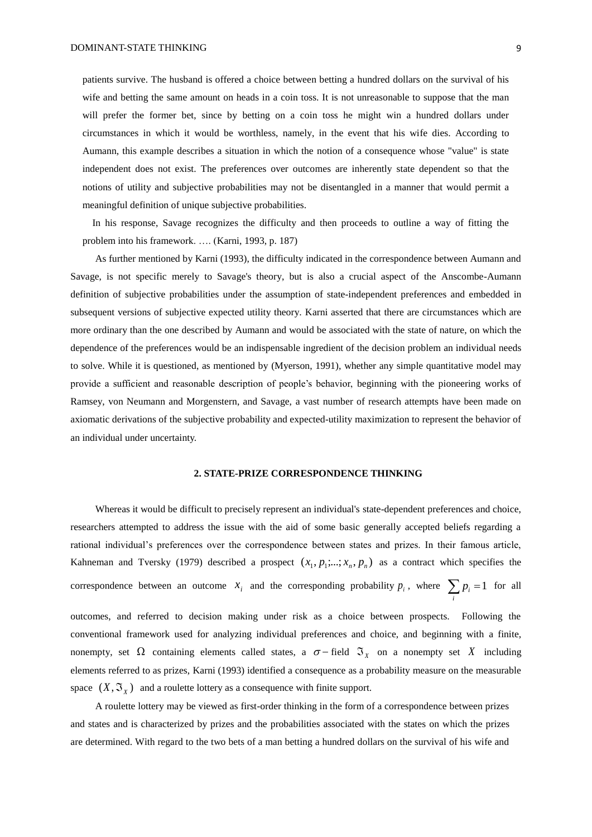patients survive. The husband is offered a choice between betting a hundred dollars on the survival of his wife and betting the same amount on heads in a coin toss. It is not unreasonable to suppose that the man will prefer the former bet, since by betting on a coin toss he might win a hundred dollars under circumstances in which it would be worthless, namely, in the event that his wife dies. According to Aumann, this example describes a situation in which the notion of a consequence whose "value" is state independent does not exist. The preferences over outcomes are inherently state dependent so that the notions of utility and subjective probabilities may not be disentangled in a manner that would permit a meaningful definition of unique subjective probabilities.

In his response, Savage recognizes the difficulty and then proceeds to outline a way of fitting the problem into his framework. …. (Karni, 1993, p. 187)

As further mentioned by Karni (1993), the difficulty indicated in the correspondence between Aumann and Savage, is not specific merely to Savage's theory, but is also a crucial aspect of the Anscombe-Aumann definition of subjective probabilities under the assumption of state-independent preferences and embedded in subsequent versions of subjective expected utility theory. Karni asserted that there are circumstances which are more ordinary than the one described by Aumann and would be associated with the state of nature, on which the dependence of the preferences would be an indispensable ingredient of the decision problem an individual needs to solve. While it is questioned, as mentioned by (Myerson, 1991), whether any simple quantitative model may provide a sufficient and reasonable description of people's behavior, beginning with the pioneering works of Ramsey, von Neumann and Morgenstern, and Savage, a vast number of research attempts have been made on axiomatic derivations of the subjective probability and expected-utility maximization to represent the behavior of an individual under uncertainty.

## **2. STATE-PRIZE CORRESPONDENCE THINKING**

Whereas it would be difficult to precisely represent an individual's state-dependent preferences and choice, researchers attempted to address the issue with the aid of some basic generally accepted beliefs regarding a rational individual's preferences over the correspondence between states and prizes. In their famous article, Kahneman and Tversky (1979) described a prospect  $(x_1, p_1; \dots; x_n, p_n)$  as a contract which specifies the correspondence between an outcome  $x_i$  and the corresponding probability  $p_i$ , where  $\sum_i p_i = 1$  for all

*i*

outcomes, and referred to decision making under risk as a choice between prospects. Following the conventional framework used for analyzing individual preferences and choice, and beginning with a finite, nonempty, set  $\Omega$  containing elements called states, a  $\sigma$  - field  $\mathfrak{I}_x$  on a nonempty set X including elements referred to as prizes, Karni (1993) identified a consequence as a probability measure on the measurable space  $(X, \mathfrak{S}_X)$  and a roulette lottery as a consequence with finite support.

A roulette lottery may be viewed as first-order thinking in the form of a correspondence between prizes and states and is characterized by prizes and the probabilities associated with the states on which the prizes are determined. With regard to the two bets of a man betting a hundred dollars on the survival of his wife and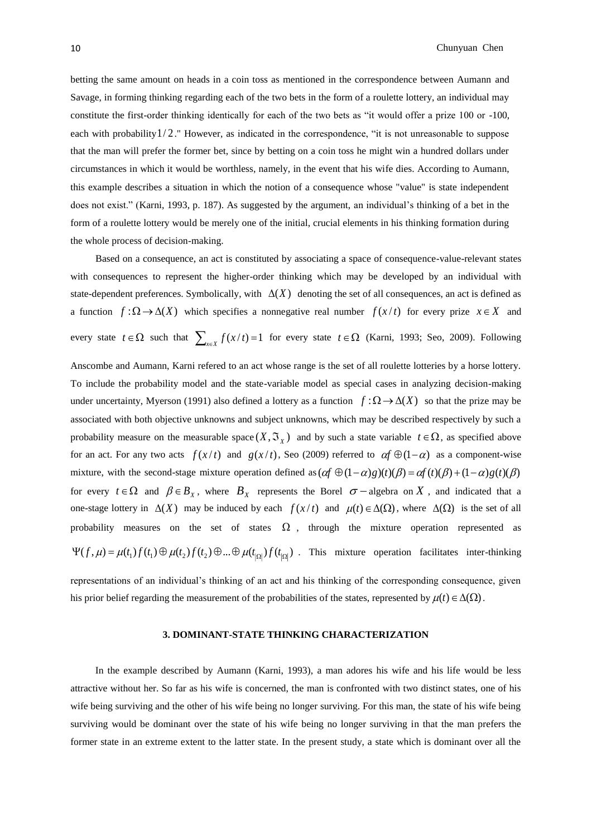betting the same amount on heads in a coin toss as mentioned in the correspondence between Aumann and Savage, in forming thinking regarding each of the two bets in the form of a roulette lottery, an individual may constitute the first-order thinking identically for each of the two bets as "it would offer a prize 100 or -100, each with probability 1/2." However, as indicated in the correspondence, "it is not unreasonable to suppose that the man will prefer the former bet, since by betting on a coin toss he might win a hundred dollars under circumstances in which it would be worthless, namely, in the event that his wife dies. According to Aumann, this example describes a situation in which the notion of a consequence whose "value" is state independent does not exist." (Karni, 1993, p. 187). As suggested by the argument, an individual's thinking of a bet in the form of a roulette lottery would be merely one of the initial, crucial elements in his thinking formation during the whole process of decision-making.

 Based on a consequence, an act is constituted by associating a space of consequence-value-relevant states with consequences to represent the higher-order thinking which may be developed by an individual with state-dependent preferences. Symbolically, with  $\Delta(X)$  denoting the set of all consequences, an act is defined as a function  $f: \Omega \to \Delta(X)$  which specifies a nonnegative real number  $f(x/t)$  for every prize  $x \in X$  and every state  $t \in \Omega$  such that  $\sum_{x \in X} f(x/t) = 1$  for every state  $t \in \Omega$  (Karni, 1993; Seo, 2009). Following

Anscombe and Aumann, Karni refered to an act whose range is the set of all roulette lotteries by a horse lottery. To include the probability model and the state-variable model as special cases in analyzing decision-making under uncertainty, Myerson (1991) also defined a lottery as a function  $f : \Omega \to \Delta(X)$  so that the prize may be associated with both objective unknowns and subject unknowns, which may be described respectively by such a probability measure on the measurable space  $(X, \mathfrak{T}_X)$  and by such a state variable  $t \in \Omega$ , as specified above for an act. For any two acts  $f(x/t)$  and  $g(x/t)$ , Seo (2009) referred to  $\alpha f \oplus (1-\alpha)$  as a component-wise mixture, with the second-stage mixture operation defined as  $(\alpha f \oplus (1-\alpha)g)(t)(\beta) = \alpha f(t)(\beta) + (1-\alpha)g(t)(\beta)$ for every  $t \in \Omega$  and  $\beta \in B_{X}$ , where  $B_{X}$  represents the Borel  $\sigma$  -algebra on X, and indicated that a one-stage lottery in  $\Delta(X)$  may be induced by each  $f(x/t)$  and  $\mu(t) \in \Delta(\Omega)$ , where  $\Delta(\Omega)$  is the set of all probability measures on the set of states  $\Omega$ , through the mixture operation represented as  $\Psi(f, \mu) = \mu(t_1) f(t_1) \oplus \mu(t_2) f(t_2) \oplus ... \oplus \mu(t_{|\Omega|}) f(t_{|\Omega|})$ . This mixture operation facilitates inter-thinking

representations of an individual's thinking of an act and his thinking of the corresponding consequence, given his prior belief regarding the measurement of the probabilities of the states, represented by  $\mu(t) \in \Delta(\Omega)$ .

#### **3. DOMINANT-STATE THINKING CHARACTERIZATION**

In the example described by Aumann (Karni, 1993), a man adores his wife and his life would be less attractive without her. So far as his wife is concerned, the man is confronted with two distinct states, one of his wife being surviving and the other of his wife being no longer surviving. For this man, the state of his wife being surviving would be dominant over the state of his wife being no longer surviving in that the man prefers the former state in an extreme extent to the latter state. In the present study, a state which is dominant over all the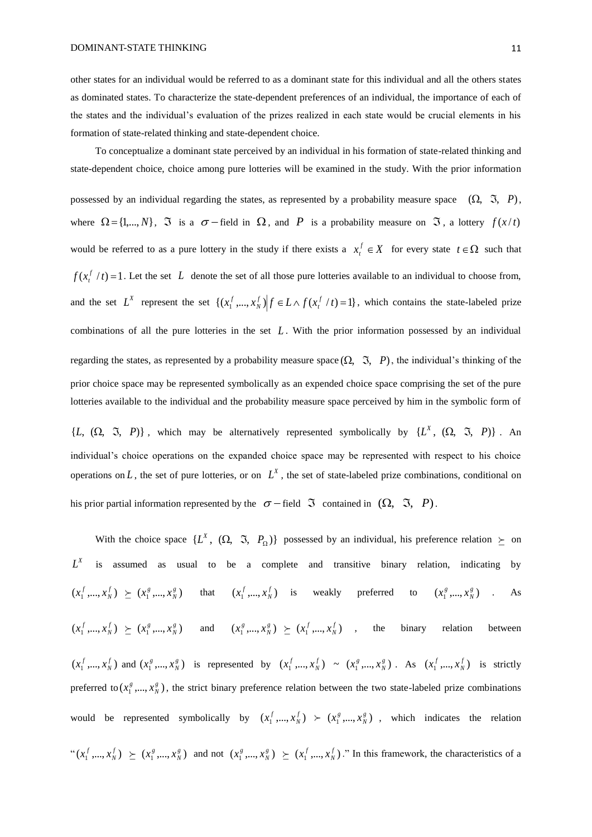other states for an individual would be referred to as a dominant state for this individual and all the others states as dominated states. To characterize the state-dependent preferences of an individual, the importance of each of the states and the individual's evaluation of the prizes realized in each state would be crucial elements in his formation of state-related thinking and state-dependent choice.

To conceptualize a dominant state perceived by an individual in his formation of state-related thinking and state-dependent choice, choice among pure lotteries will be examined in the study. With the prior information

possessed by an individual regarding the states, as represented by a probability measure space  $(\Omega, \mathfrak{I}, P)$ , where  $\Omega = \{1,...,N\}$ ,  $\Im$  is a  $\sigma$  -field in  $\Omega$ , and P is a probability measure on  $\Im$ , a lottery  $f(x/t)$ would be referred to as a pure lottery in the study if there exists a  $x_t^f \in X$  for every state  $t \in \Omega$  such that  $f(x_t^f / t) = 1$ . Let the set L denote the set of all those pure lotteries available to an individual to choose from, and the set  $L^X$  represent the set  $\{(x_1^f, ..., x_N^f) | f \in L \wedge f(x_t^f / t) = 1\}$ , which contains the state-labeled prize combinations of all the pure lotteries in the set *L* . With the prior information possessed by an individual regarding the states, as represented by a probability measure space  $(\Omega, \mathfrak{I}, P)$ , the individual's thinking of the prior choice space may be represented symbolically as an expended choice space comprising the set of the pure lotteries available to the individual and the probability measure space perceived by him in the symbolic form of

 $\{L, (\Omega, \mathfrak{I}, P)\}\$ , which may be alternatively represented symbolically by  $\{L^X, (\Omega, \mathfrak{I}, P)\}\$ . An individual's choice operations on the expanded choice space may be represented with respect to his choice operations on  $L$ , the set of pure lotteries, or on  $L^X$ , the set of state-labeled prize combinations, conditional on his prior partial information represented by the  $\sigma$  – field  $\Im$  contained in  $(\Omega, \Im, P)$ .

With the choice space  $\{L^X, (\Omega, \Im, P_{\Omega})\}$  possessed by an individual, his preference relation  $\succeq$  on  $L^X$  is assumed as usual to be a complete and transitive binary relation, indicating by  $(x_1^f, ..., x_N^f) \ge (x_1^g, ..., x_N^g)$  that  $(x_1^f, ..., x_N^f)$  is weakly preferred to  $(x_1^g, ..., x_N^g)$ . As  $(x_1^f, ..., x_N^f) \ge (x_1^g, ..., x_N^g)$  and  $(x_1^g, ..., x_N^g) \ge (x_1^f, ..., x_N^f)$ , the binary relation between  $(x_1^f, ..., x_N^f)$  and  $(x_1^g, ..., x_N^g)$  is represented by  $(x_1^f, ..., x_N^f) \sim (x_1^g, ..., x_N^g)$ . As  $(x_1^f, ..., x_N^f)$  is strictly preferred to  $(x_1^g, ..., x_N^g)$ , the strict binary preference relation between the two state-labeled prize combinations would be represented symbolically by  $(x_1^f, ..., x_N^f) \succ (x_1^g, ..., x_N^g)$ , which indicates the relation  $f(x_1^f,...,x_N^f) \geq (x_1^g,...,x_N^g)$  and not  $(x_1^g,...,x_N^g) \geq (x_1^f,...,x_N^f)$ ." In this framework, the characteristics of a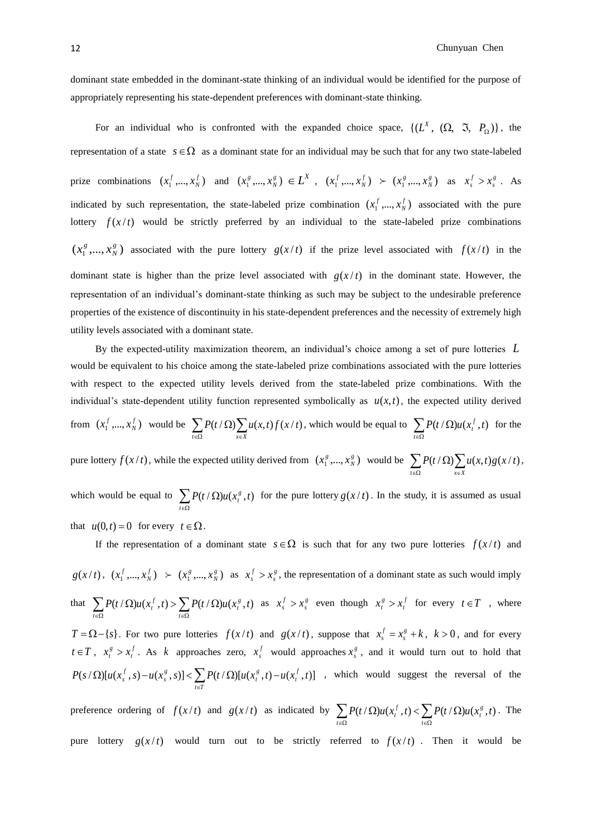appropriately representing his state-dependent preferences with dominant-state thinking.

For an individual who is confronted with the expanded choice space,  $\{(L^X, (\Omega, \Im, P_{\Omega})\},\)$ representation of a state  $s \in \Omega$  as a dominant state for an individual may be such that for any two state-labeled prize combinations  $(x_1^f, ..., x_N^f)$  and  $(x_1^g, ..., x_N^g) \in L^X$ ,  $(x_1^f, ..., x_N^f) \succ (x_1^g, ..., x_N^g)$  as  $x_s^f > x_s^g$ . As indicated by such representation, the state-labeled prize combination  $(x_1^f, ..., x_N^f)$  associated with the pure lottery  $f(x/t)$  would be strictly preferred by an individual to the state-labeled prize combinations  $(x_1^g, ..., x_N^g)$  associated with the pure lottery  $g(x/t)$  if the prize level associated with  $f(x/t)$  in the dominant state is higher than the prize level associated with  $g(x/t)$  in the dominant state. However, the representation of an individual's dominant-state thinking as such may be subject to the undesirable preference properties of the existence of discontinuity in his state-dependent preferences and the necessity of extremely high utility levels associated with a dominant state.

By the expected-utility maximization theorem, an individual's choice among a set of pure lotteries *L* would be equivalent to his choice among the state-labeled prize combinations associated with the pure lotteries with respect to the expected utility levels derived from the state-labeled prize combinations. With the individual's state-dependent utility function represented symbolically as  $u(x,t)$ , the expected utility derived

from 
$$
(x_1^f, ..., x_N^f)
$$
 would be  $\sum_{t \in \Omega} P(t/\Omega) \sum_{x \in X} u(x,t) f(x/t)$ , which would be equal to  $\sum_{t \in \Omega} P(t/\Omega) u(x_t^f, t)$  for the

pure lottery  $f(x/t)$ , while the expected utility derived from  $(x_1^g, ..., x_N^g)$  would be  $\sum_{t \in \Omega} P(t/\Omega) \sum_{x \in X}$ Ω  $t \in \Omega$   $x \in X$  $P(t/\Omega)\sum u(x,t)g(x/t),$ 

which would be equal to  $\sum_{t \in \Omega}$  $P(t/\Omega)u(x_t^s,t)$  for the pure lottery  $g(x/t)$ . In the study, it is assumed as usual *t* that  $u(0,t) = 0$  for every  $t \in \Omega$ .

If the representation of a dominant state  $s \in \Omega$  is such that for any two pure lotteries  $f(x/t)$  and  $g(x/t)$ ,  $(x_1^f, ..., x_N^f)$   $\succ$   $(x_1^g, ..., x_N^g)$  as  $x_s^f > x_s^g$ , the representation of a dominant state as such would imply that  $\sum_{t \in \Omega} P(t/\Omega)u(x_t^f, t) > \sum_{t \in \Omega}$  $\Omega$ )u(x<sup>t</sup>,t) >  $\sum P(t/\Omega)$ *t*  $\sum_{t \in \Omega} P(t/\Omega) u(x_t^f,t)$  >  $\sum_{t \in \Omega} P(t/\Omega) u(x_t^g)$  $P(t/\Omega)u(x_t^f,t) > \sum P(t/\Omega)u(x_t^g,t)$  as  $x_s^f > x_s^g$  even though  $x_t^g > x_t^f$  for every  $t \in T$ , where  $T = \Omega - \{s\}$ . For two pure lotteries  $f(x/t)$  and  $g(x/t)$ , suppose that  $x_s^f = x_s^g + k$ ,  $k > 0$ , and for every  $t \in T$ ,  $x_t^g > x_t^f$ . As k approaches zero,  $x_s^f$  would approaches  $x_s^g$ , and it would turn out to hold that  $(s/\Omega) [u(x_s^f, s) - u(x_s^g, s)] < \sum P(t/\Omega) [u(x_t^g, t) - u(x_t^f, t)]$ E.  $t \in T$  $P(s/\Omega)[u(x_s^f,s)-u(x_s^g,s)] < \sum P(t/\Omega)[u(x_t^g,t)-u(x_t^f,t)]$ , which would suggest the reversal of the

preference ordering of  $f(x/t)$  and  $g(x/t)$  as indicated by  $\sum_{t \in \Omega} P(t/\Omega)u(x_t^f, t) < \sum_{t \in \Omega}$  $\Omega$ )u(x',t) <  $\sum P(t/\Omega)$ *t*  $\sum_{t \in \Omega} P(t/\Omega) u(x_t^J,t) < \sum_{t \in \Omega} P(t/\Omega) u(x_t^g)$  $P(t/\Omega)u(x_t^f, t) < \sum P(t/\Omega)u(x_t^g, t)$ . The pure lottery  $g(x/t)$  would turn out to be strictly referred to  $f(x/t)$ . Then it would be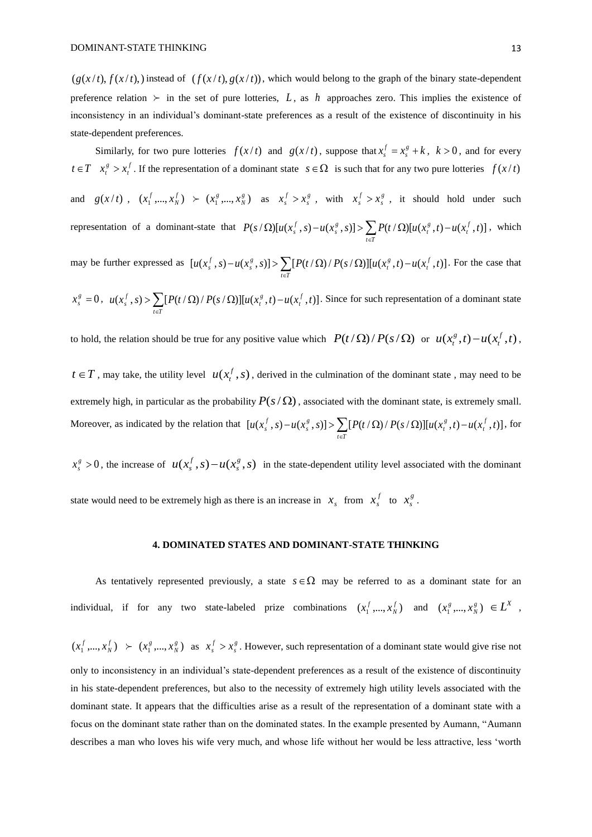$(g(x/t), f(x/t))$ , instead of  $(f(x/t), g(x/t))$ , which would belong to the graph of the binary state-dependent preference relation  $\succ$  in the set of pure lotteries, L, as h approaches zero. This implies the existence of inconsistency in an individual's dominant-state preferences as a result of the existence of discontinuity in his state-dependent preferences.

Similarly, for two pure lotteries  $f(x/t)$  and  $g(x/t)$ , suppose that  $x_s^f = x_s^g + k$ ,  $k > 0$ , and for every  $t \in T$   $x_t^s > x_t^f$ . If the representation of a dominant state  $s \in \Omega$  is such that for any two pure lotteries  $f(x/t)$ and  $g(x/t)$ ,  $(x_1^f, ..., x_N^f)$   $\succ$   $(x_1^g, ..., x_N^g)$  as  $x_s^f > x_s^g$ , with  $x_s^f > x_s^g$ , it should hold under such representation of a dominant-state that  $P(s/\Omega)[u(x_s^f,s)-u(x_s^g,s)] > \sum_{t \in \Gamma} P(t/\Omega)[u(x_t^g,t)-u(x_t^f,t)]$  $\Omega$ [u(x<sup>t</sup>, s) – u(x<sup>g</sup>, s)] >  $\sum P(t/\Omega)$ [u(x<sup>g</sup>, t) –  $t \in T$  $P(s/\Omega)[u(x_s^f, s) - u(x_s^g, s)] > \sum P(t/\Omega)[u(x_t^g, t) - u(x_t^f, t)]$ , which

may be further expressed as  $[u(x_s^f, s) - u(x_s^g, s)] > \sum_{t \in \mathcal{T}} [P(t/\Omega)/P(s/\Omega)][u(x_t^g, t) - u(x_t^f, t)]$  $-u(x^g,s)$  >  $\sum P(t/\Omega)/P(s/\Omega)$   $\prod u(x^g,t)$  *t T*  $u(x_s^f, s) - u(x_s^g, s)] > \sum [P(t/\Omega)/P(s/\Omega)][u(x_t^g, t) - u(x_t^f, t)].$  For the case that

$$
x_s^g = 0, \ \ u(x_s^f, s) > \sum_{t \in T} [P(t/\Omega)/P(s/\Omega)][u(x_t^g, t) - u(x_t^f, t)].
$$
 Since for such representation of a dominant state

to hold, the relation should be true for any positive value which  $P(t/\Omega)/P(s/\Omega)$  or  $u(x_t^g,t) - u(x_t^f,t)$ ,

 $t \in T$ , may take, the utility level  $u(x_t^f, s)$  $t_t^J$ , *s*), derived in the culmination of the dominant state, may need to be extremely high, in particular as the probability  $P(s/\Omega)$ , associated with the dominant state, is extremely small. Moreover, as indicated by the relation that  $[u(x_s^f, s) - u(x_s^g, s)] > \sum_{t \in \mathcal{T}} [P(t/\Omega) / P(s/\Omega)][u(x_t^g, t) - u(x_t^f, t)]$ ∈.  $u(x_s^f, s) - u(x_s^g, s)$   $>$   $\sum [P(t/\Omega)/P(s/\Omega)] [u(x_t^g, t) - u(x_t^f, t)]$ , for

 $x_s^g > 0$ , the increase of  $u(x_s^f, s) - u(x_s^g, s)$  in the state-dependent utility level associated with the dominant state would need to be extremely high as there is an increase in  $x_s$  from  $x_s^f$  to  $x_s^g$ .

#### **4. DOMINATED STATES AND DOMINANT-STATE THINKING**

As tentatively represented previously, a state  $s \in \Omega$  may be referred to as a dominant state for an individual, if for any two state-labeled prize combinations  $(x_1^f, ..., x_N^f)$  and  $(x_1^g, ..., x_N^g) \in L^X$ ,

 $(x_1^f, ..., x_N^f) \succ (x_1^g, ..., x_N^g)$  as  $x_s^f > x_s^g$ . However, such representation of a dominant state would give rise not only to inconsistency in an individual's state-dependent preferences as a result of the existence of discontinuity in his state-dependent preferences, but also to the necessity of extremely high utility levels associated with the dominant state. It appears that the difficulties arise as a result of the representation of a dominant state with a focus on the dominant state rather than on the dominated states. In the example presented by Aumann, "Aumann describes a man who loves his wife very much, and whose life without her would be less attractive, less 'worth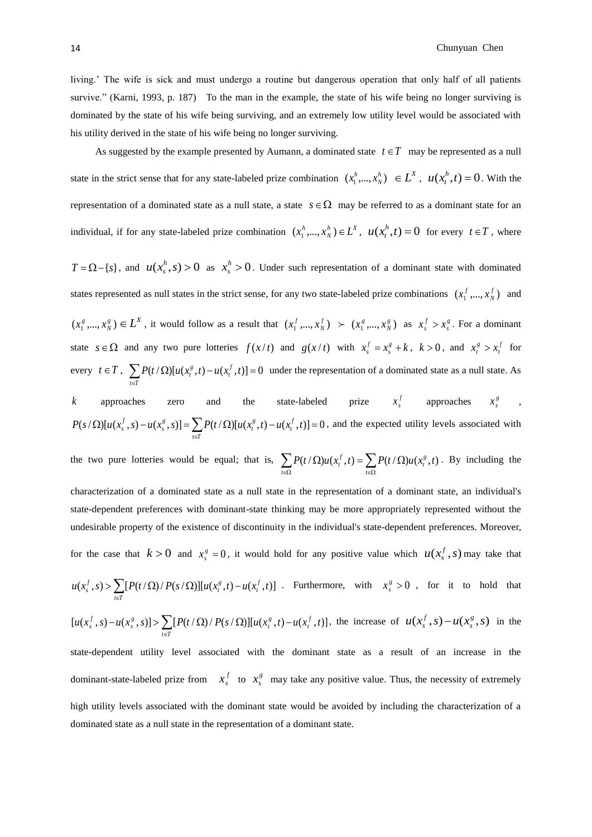#### 14 Chunyuan Chen

living.' The wife is sick and must undergo a routine but dangerous operation that only half of all patients survive." (Karni, 1993, p. 187) To the man in the example, the state of his wife being no longer surviving is dominated by the state of his wife being surviving, and an extremely low utility level would be associated with his utility derived in the state of his wife being no longer surviving.

As suggested by the example presented by Aumann, a dominated state  $t \in T$  may be represented as a null state in the strict sense that for any state-labeled prize combination  $(x_1^h, ..., x_N^h) \in L^X$ ,  $u(x_t^h, t) = 0$  $t_t^n$ ,  $t$ ) = 0. With the representation of a dominated state as a null state, a state  $s \in \Omega$  may be referred to as a dominant state for an individual, if for any state-labeled prize combination  $(x_1^h, ..., x_N^h) \in L^X$ ,  $u(x_t^h, t) = 0$  $f_t^n$ ,  $t$ ) = 0 for every  $t \in T$ , where

 $T = \Omega - \{s\}$ , and  $u(x_s^h, s) > 0$  $a_s^h$ , *s*) > 0 as  $x_s^h$  > 0  $x_s^n > 0$ . Under such representation of a dominant state with dominated states represented as null states in the strict sense, for any two state-labeled prize combinations  $(x_1^f, ..., x_N^f)$  and  $(x_1^g,...,x_N^g) \in L^X$ , it would follow as a result that  $(x_1^f,...,x_N^f) \succ (x_1^g,...,x_N^g)$  as  $x_s^f > x_s^g$ . For a dominant state  $s \in \Omega$  and any two pure lotteries  $f(x/t)$  and  $g(x/t)$  with  $x_s^f = x_s^g + k$ ,  $k > 0$ , and  $x_t^g > x_t^f$  for every  $t \in T$ ,  $\sum_{t \in T} P(t / \Omega) [u(x_t^s, t) - u(x_t^f, t)] = 0$  $P(t/\Omega)[u(x_t^s, t) - u(x_t^f, t)] = 0$  under the representation of a dominated state as a null state. As

*k* approaches zero and the state-labeled prize  $x_s^f$  approaches  $x_s^g$ ,  $J(s/\Omega)[u(x_s^f, s) - u(x_s^g, s)] = \sum_{t \in T} P(t/\Omega)[u(x_t^g, t) - u(x_t^f, t)] = 0$  $P(s/\Omega)[u(x_s^f, s) - u(x_s^g, s)] = \sum P(t/\Omega)[u(x_t^g, t) - u(x_t^f, t)] = 0$ , and the expected utility levels associated with

the two pure lotteries would be equal; that is,  $\sum_{t \in \Omega} P(t/\Omega)u(x_t^f, t) = \sum_{t \in \Omega}$  $\Omega$ )u(x<sup>1</sup>,t) =  $\sum P(t/\Omega)$ *t*  $\sum_{t \in \Omega} P(t/\Omega) u(x_t^J,t) = \sum_{t \in \Omega} P(t/\Omega) u(x_t^g)$  $P(t/\Omega)u(x_t^f, t) = \sum P(t/\Omega)u(x_t^g, t)$ . By including the characterization of a dominated state as a null state in the representation of a dominant state, an individual's state-dependent preferences with dominant-state thinking may be more appropriately represented without the undesirable property of the existence of discontinuity in the individual's state-dependent preferences. Moreover, for the case that  $k > 0$  and  $x_s^g = 0$ , it would hold for any positive value which  $u(x_s^f, s)$  may take that  $u(x_s^f, s) > \sum [P(t/\Omega)/P(s/\Omega)][u(x_t^g, t) - u(x_t^f, t)]$ . Furthermore, with  $x_s^g > 0$ , for it to hold that ∈ *t* ∈T  $[u(x_s^f, s) - u(x_s^g, s)] > \sum_{t \in T} [P(t/\Omega) / P(s/\Omega)] [u(x_t^g, t) - u(x_t^f, t)]$  $-u(x^g, s)] > \sum [P(t/\Omega)/P(s/\Omega)][u(x^g, t)]$  $t \in T$  $u(x_s^f, s) - u(x_s^g, s)$  >  $\sum [P(t/\Omega)/P(s/\Omega)] [u(x_t^g, t) - u(x_t^f, t)]$ , the increase of  $u(x_s^f, s) - u(x_s^g, s)$  in the state-dependent utility level associated with the dominant state as a result of an increase in the dominant-state-labeled prize from  $x_s^f$  to  $x_s^g$  may take any positive value. Thus, the necessity of extremely

high utility levels associated with the dominant state would be avoided by including the characterization of a dominated state as a null state in the representation of a dominant state.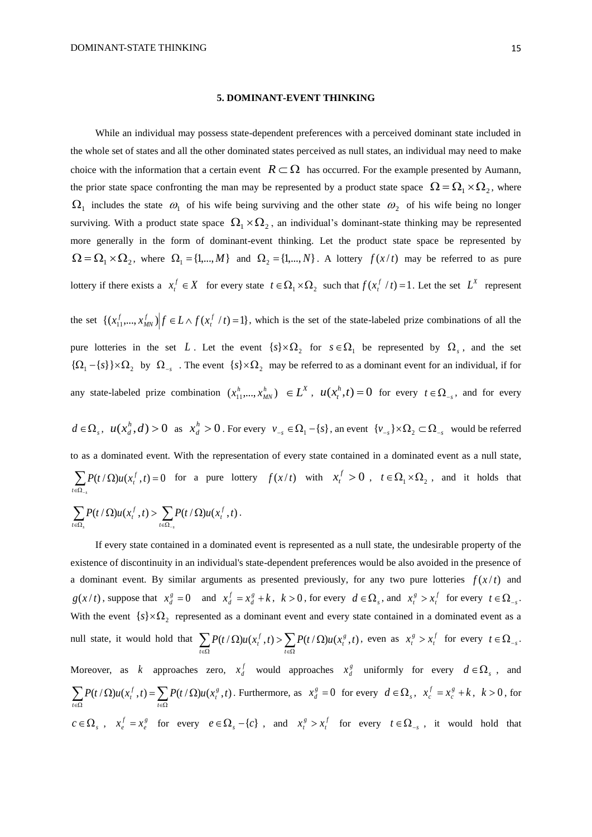#### **5. DOMINANT-EVENT THINKING**

While an individual may possess state-dependent preferences with a perceived dominant state included in the whole set of states and all the other dominated states perceived as null states, an individual may need to make choice with the information that a certain event  $R \subset \Omega$  has occurred. For the example presented by Aumann, the prior state space confronting the man may be represented by a product state space  $\Omega = \Omega_1 \times \Omega_2$ , where  $\Omega_1$  includes the state  $\omega_1$  of his wife being surviving and the other state  $\omega_2$  of his wife being no longer surviving. With a product state space  $\Omega_1 \times \Omega_2$ , an individual's dominant-state thinking may be represented more generally in the form of dominant-event thinking. Let the product state space be represented by  $\Omega = \Omega_1 \times \Omega_2$ , where  $\Omega_1 = \{1,...,M\}$  and  $\Omega_2 = \{1,...,N\}$ . A lottery  $f(x/t)$  may be referred to as pure lottery if there exists a  $x_t^f \in X$  for every state  $t \in \Omega_1 \times \Omega_2$  such that  $f(x_t^f / t) = 1$ . Let the set  $L^X$  represent

the set  $\{(x_{11}^f,...,x_{MN}^f) | f \in L \wedge f(x_t^f / t) = 1\}$ , which is the set of the state-labeled prize combinations of all the pure lotteries in the set L. Let the event  $\{s\} \times \Omega_2$  for  $s \in \Omega_1$  be represented by  $\Omega_s$ , and the set  ${\Omega_1 - \{s\}} \times {\Omega_2}$  by  ${\Omega_{-s}}$ . The event  ${s \} \times {\Omega_2}$  may be referred to as a dominant event for an individual, if for any state-labeled prize combination  $(x_1^h, ..., x_{MN}^h) \in L^X$ ,  $u(x_t^h, t) = 0$  $f_t^n$ ,  $t$ ) = 0 for every  $t \in \Omega_{-s}$ , and for every

 $d \in \Omega_s$ ,  $u(x_d^h, d) > 0$  $a^h$ , *d*) > 0 as  $x^h$  > 0  $x_d^n > 0$ . For every  $v_{-s} \in \Omega_1 - \{s\}$ , an event  $\{v_{-s}\}\times \Omega_2 \subset \Omega_{-s}$  would be referred to as a dominated event. With the representation of every state contained in a dominated event as a null state,  $\sum_{t \in \Omega} P(t / \Omega) u(x_t^f, t) = 0$ *s*  $P(t/\Omega)u(x_t^f, t) = 0$  for a pure lottery  $f(x/t)$  with  $x_t^f > 0$ ,  $t \in \Omega_1 \times \Omega_2$ , and it holds that

$$
\sum_{t\in\Omega_s} P(t/\Omega)u(x_t^f,t) > \sum_{t\in\Omega_{-s}} P(t/\Omega)u(x_t^f,t).
$$

If every state contained in a dominated event is represented as a null state, the undesirable property of the existence of discontinuity in an individual's state-dependent preferences would be also avoided in the presence of a dominant event. By similar arguments as presented previously, for any two pure lotteries  $f(x/t)$  and  $g(x/t)$ , suppose that  $x_d^s = 0$  and  $x_d^f = x_d^s + k$ ,  $k > 0$ , for every  $d \in \Omega_s$ , and  $x_t^s > x_t^f$  for every  $t \in \Omega_{-s}$ . With the event  $\{s\}\times\Omega_2$  represented as a dominant event and every state contained in a dominated event as a null state, it would hold that  $\sum_{t \in \Omega} P(t/\Omega)u(x_t^f, t) > \sum_{t \in \Omega}$  $\Omega$ )u(x',t) >  $\sum P(t/\Omega)$  $\sum_{t \in \Omega} P(t/\Omega) u(x_t^J,t) > \sum_{t \in \Omega} P(t/\Omega) u(x_t^g)$  $P(t/\Omega)u(x_t^f, t) > \sum P(t/\Omega)u(x_t^g, t)$ , even as  $x_t^g > x_t^f$  for every  $t \in \Omega_{-s}$ . Moreover, as k approaches zero,  $x_d^f$  would approaches  $x_d^g$  uniformly for every  $d \in \Omega_s$ , and  $\sum_{t\in\Omega} P(t/\Omega)u(x_t^f,t)=\sum_{t\in\Omega}$  $\Omega$ )u(x',t) =  $\sum P(t/\Omega)$ *t*  $\sum_{t \in \Omega} P(t/\Omega) u(x_t^J,t) = \sum_{t \in \Omega} P(t/\Omega) u(x_t^g)$  $P(t/\Omega)u(x_t^f, t) = \sum P(t/\Omega)u(x_t^g, t)$ . Furthermore, as  $x_d^g = 0$  for every  $d \in \Omega_s$ ,  $x_c^f = x_c^g + k$ ,  $k > 0$ , for  $c \in \Omega_s$ ,  $x_e^f = x_e^g$  for every  $e \in \Omega_s - \{c\}$ , and  $x_t^g > x_t^f$  for every  $t \in \Omega_{-s}$ , it would hold that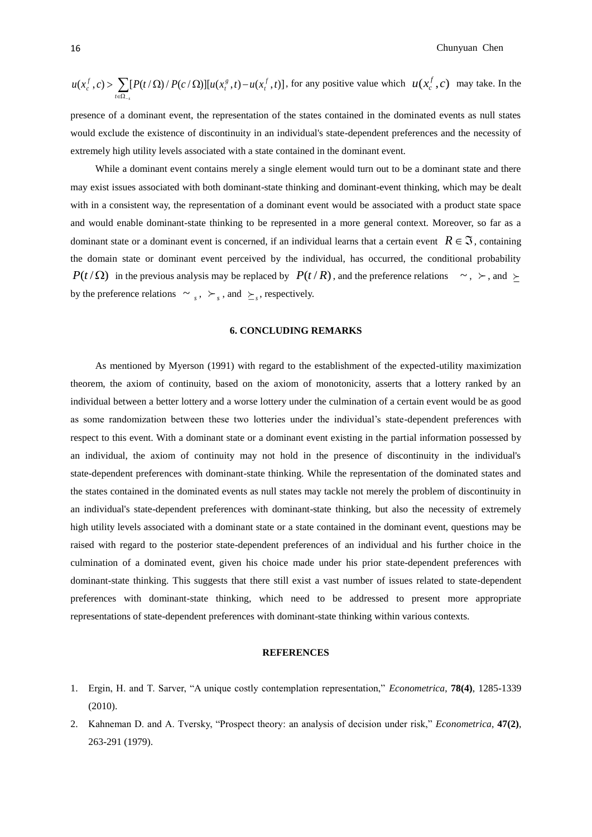$$
u(x_c^f, c) > \sum_{t \in \Omega_{-s}} [P(t/\Omega)/P(c/\Omega)][u(x_c^g, t) - u(x_t^f, t)],
$$
 for any positive value which  $u(x_c^f, c)$  may take. In the

presence of a dominant event, the representation of the states contained in the dominated events as null states would exclude the existence of discontinuity in an individual's state-dependent preferences and the necessity of extremely high utility levels associated with a state contained in the dominant event.

While a dominant event contains merely a single element would turn out to be a dominant state and there may exist issues associated with both dominant-state thinking and dominant-event thinking, which may be dealt with in a consistent way, the representation of a dominant event would be associated with a product state space and would enable dominant-state thinking to be represented in a more general context. Moreover, so far as a dominant state or a dominant event is concerned, if an individual learns that a certain event  $R \in \mathfrak{I}$ , containing the domain state or dominant event perceived by the individual, has occurred, the conditional probability  $P(t/\Omega)$  in the previous analysis may be replaced by  $P(t/R)$ , and the preference relations  $\sim$ ,  $\succ$ , and  $\succ$ by the preference relations  $\sim s$ ,  $\succ s$ , and  $\geq s$ , respectively.

## **6. CONCLUDING REMARKS**

As mentioned by Myerson (1991) with regard to the establishment of the expected-utility maximization theorem, the axiom of continuity, based on the axiom of monotonicity, asserts that a lottery ranked by an individual between a better lottery and a worse lottery under the culmination of a certain event would be as good as some randomization between these two lotteries under the individual's state-dependent preferences with respect to this event. With a dominant state or a dominant event existing in the partial information possessed by an individual, the axiom of continuity may not hold in the presence of discontinuity in the individual's state-dependent preferences with dominant-state thinking. While the representation of the dominated states and the states contained in the dominated events as null states may tackle not merely the problem of discontinuity in an individual's state-dependent preferences with dominant-state thinking, but also the necessity of extremely high utility levels associated with a dominant state or a state contained in the dominant event, questions may be raised with regard to the posterior state-dependent preferences of an individual and his further choice in the culmination of a dominated event, given his choice made under his prior state-dependent preferences with dominant-state thinking. This suggests that there still exist a vast number of issues related to state-dependent preferences with dominant-state thinking, which need to be addressed to present more appropriate representations of state-dependent preferences with dominant-state thinking within various contexts.

## **REFERENCES**

- 1. Ergin, H. and T. Sarver, "A unique costly contemplation representation," *Econometrica*, **78(4)**, 1285-1339 (2010).
- 2. Kahneman D. and A. Tversky, "Prospect theory: an analysis of decision under risk," *Econometrica*, **47(2)**, 263-291 (1979).